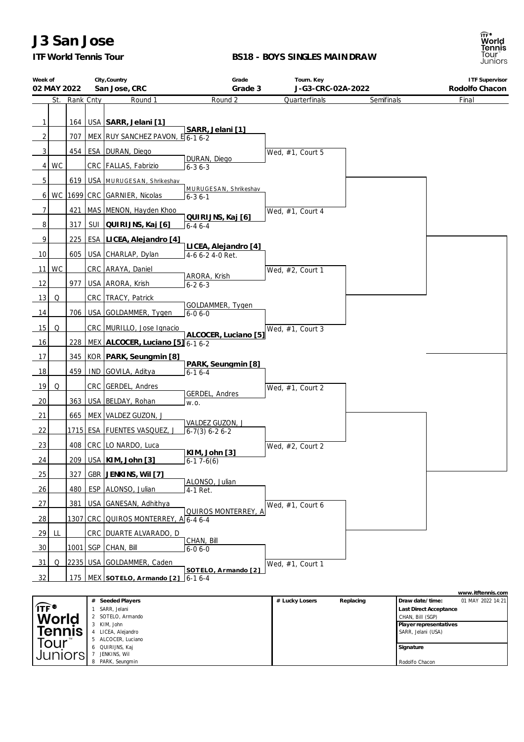## *ITF World Tennis Tour*

 ALCOCER, Luciano QUIRIJNS, Kaj JENKINS, Wil PARK, Seungmin

#### **BS18 - BOYS SINGLES MAINDRAW**



**Signature** Rodolfo Chacon

| Week of<br>02 MAY 2022 |    | City, Country<br>San Jose, CRC     |     |                                       | Grade<br>Tourn. Key<br>J-G3-CRC-02A-2022<br>Grade 3 |                     |            | <b>ITF Supervisor</b><br>Rodolfo Chacon      |
|------------------------|----|------------------------------------|-----|---------------------------------------|-----------------------------------------------------|---------------------|------------|----------------------------------------------|
|                        |    | St. Rank Cnty                      |     | Round 1                               | Round 2                                             | Quarterfinals       | Semifinals | Final                                        |
| $\mathbf{1}$           |    |                                    |     | 164   USA   SARR, Jelani [1]          |                                                     |                     |            |                                              |
| 2                      |    | 707                                |     | $NEX$ RUY SANCHEZ PAVON, $E_{6-16-2}$ | SARR, Jelani [1]                                    |                     |            |                                              |
| 3 <sup>1</sup>         |    |                                    |     | 454   ESA   DURAN, Diego              |                                                     |                     |            |                                              |
| 4 <sup>1</sup>         | WC |                                    |     | CRC   FALLAS, Fabrizio                | DURAN, Diego<br>$6 - 36 - 3$                        | Wed, #1, Court 5    |            |                                              |
| 5                      |    |                                    |     | 619   USA   MURUGESAN, Shrikeshav     |                                                     |                     |            |                                              |
| $6 \mid$               |    |                                    |     | WC   1699   CRC   GARNIER, Nicolas    | MURUGESAN, Shrikeshav                               |                     |            |                                              |
| $\overline{7}$         |    | 421                                |     | MAS MENON, Hayden Khoo                | $6 - 36 - 1$                                        |                     |            |                                              |
| 8                      |    | 317                                |     | SUI QUIRIJNS, Kaj [6]                 | QUIRIJNS, Kaj [6]<br>$6 - 46 - 4$                   | Wed, #1, Court 4    |            |                                              |
| 9                      |    | 225                                |     | ESA LICEA, Alejandro [4]              |                                                     |                     |            |                                              |
| 10                     |    | 605 l                              |     | USA CHARLAP, Dylan                    | LICEA, Alejandro [4]<br>4-6 6-2 4-0 Ret.            |                     |            |                                              |
| <b>11</b>              | WC |                                    |     | CRC ARAYA, Daniel                     |                                                     |                     |            |                                              |
| 12                     |    | 977                                |     | USA ARORA, Krish                      | ARORA, Krish<br>$6 - 26 - 3$                        | Wed, #2, Court 1    |            |                                              |
| 13                     | Q  |                                    |     | CRC   TRACY, Patrick                  |                                                     |                     |            |                                              |
| 14                     |    |                                    |     | 706   USA GOLDAMMER, Tygen            | GOLDAMMER, Tygen<br>$6-06-0$                        |                     |            |                                              |
| 15                     | Q  |                                    |     | CRC MURILLO, Jose Ignacio             |                                                     |                     |            |                                              |
| 16                     |    | 228                                |     | MEX ALCOCER, Luciano [5] 6-1 6-2      | ALCOCER, Luciano [5]                                | Wed, $#1$ , Court 3 |            |                                              |
| 17                     |    |                                    |     | 345   KOR   PARK, Seungmin [8]        |                                                     |                     |            |                                              |
| 18                     |    | 459                                |     | IND GOVILA, Aditya                    | PARK, Seungmin [8]<br>$6 - 16 - 4$                  |                     |            |                                              |
| 19                     | Q  |                                    |     | CRC GERDEL, Andres                    |                                                     | Wed, #1, Court 2    |            |                                              |
| 20                     |    |                                    |     | 363   USA   BELDAY, Rohan             | GERDEL, Andres<br>W.O.                              |                     |            |                                              |
| 21                     |    | 665                                |     | MEX VALDEZ GUZON, J                   |                                                     |                     |            |                                              |
| 22                     |    |                                    |     | 1715   ESA   FUENTES VASQUEZ, J       | VALDEZ GUZON, J<br>$6-7(3) 6-2 6-2$                 |                     |            |                                              |
| 23                     |    | 408                                |     | CRC LO NARDO, Luca                    |                                                     | Wed, #2, Court 2    |            |                                              |
| 24                     |    | 209                                |     | USA   KIM, John [3]                   | KIM, John [3]<br>$6-17-6(6)$                        |                     |            |                                              |
| 25                     |    | 327                                |     | GBR JENKINS, Wil [7]                  |                                                     |                     |            |                                              |
| 26                     |    | 480                                |     | ESP ALONSO, Julian                    | ALONSO, Julian<br>4-1 Ret.                          |                     |            |                                              |
| 27                     |    | 381                                | USA | GANESAN, Adhithya                     |                                                     | Wed, #1, Court 6    |            |                                              |
| <u>28</u>              |    | 1307                               | CRC | OUIROS MONTERREY, A 6-4 6-4           | QUIROS MONTERREY, A                                 |                     |            |                                              |
| 29                     | Щ. |                                    |     | <u>CRC DUARTE ALVARADO, D</u>         |                                                     |                     |            |                                              |
| 30                     |    | $1001$ SGP                         |     | CHAN, Bill                            | CHAN, Bill<br>$6 - 06 - 0$                          |                     |            |                                              |
| 31                     | Q  |                                    |     | 2235 USA GOLDAMMER, Caden             |                                                     | Wed, #1, Court 1    |            |                                              |
| 32                     |    | 175                                |     | MEX SOTELO, Armando [2]               | SOTELO, Armando [2]<br>$6-16-4$                     |                     |            |                                              |
|                        |    |                                    |     |                                       |                                                     |                     |            | www.itftennis.com                            |
|                        |    |                                    | #   | Seeded Players<br>1 SARR, Jelani      |                                                     | # Lucky Losers      | Replacing  | Draw date/time:<br>01 MAY 2022 14:21         |
|                        |    | <sub>ा⊤ह•</sub><br>World<br>Tennis |     | 2 SOTELO, Armando                     |                                                     |                     |            | Last Direct Acceptance<br>CHAN, Bill (SGP)   |
|                        |    |                                    |     | 3 KIM, John<br>4 LICEA, Alejandro     |                                                     |                     |            | Player representatives<br>SARR, Jelani (USA) |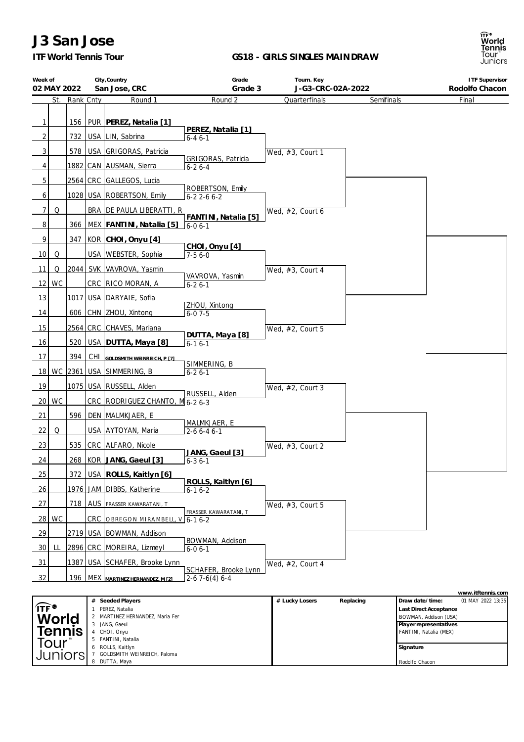*ITF World Tennis Tour*

8 DUTTA, Maya

**Juniors** 

7 GOLDSMITH WEINREICH, Paloma

#### **GS18 - GIRLS SINGLES MAINDRAW**



**Signature** Rodolfo Chacon

| Week of                  |                         |                               | City, Country                      | Grade                                     | Tourn. Key          |            | <b>ITF Supervisor</b>                                          |
|--------------------------|-------------------------|-------------------------------|------------------------------------|-------------------------------------------|---------------------|------------|----------------------------------------------------------------|
| 02 MAY 2022              |                         |                               | San Jose, CRC                      | Grade 3                                   | J-G3-CRC-02A-2022   |            | Rodolfo Chacon                                                 |
|                          | St.                     | Rank Cnty                     | Round 1                            | Round 2                                   | Quarterfinals       | Semifinals | Final                                                          |
|                          |                         |                               |                                    |                                           |                     |            |                                                                |
| $\mathbf{1}$             |                         |                               | 156   PUR   PEREZ, Natalia [1]     | PEREZ, Natalia [1]                        |                     |            |                                                                |
| $\overline{2}$           |                         |                               | 732   USA   LIN, Sabrina           | $6 - 46 - 1$                              |                     |            |                                                                |
| 3                        |                         |                               | 578   USA GRIGORAS, Patricia       |                                           | Wed, $#3$ , Court 1 |            |                                                                |
| 4                        |                         |                               | 1882 CAN AUSMAN, Sierra            | <b>GRIGORAS, Patricia</b><br>$6 - 26 - 4$ |                     |            |                                                                |
|                          |                         |                               |                                    |                                           |                     |            |                                                                |
| 5                        |                         |                               | 2564 CRC GALLEGOS, Lucia           | ROBERTSON, Emily                          |                     |            |                                                                |
| 6                        |                         |                               | 1028   USA   ROBERTSON, Emily      | $6 - 22 - 66 - 2$                         |                     |            |                                                                |
| 7                        | Q                       |                               | BRA DE PAULA LIBERATTI, R          |                                           | Wed, #2, Court 6    |            |                                                                |
| 8                        |                         |                               | 366   MEX   FANTINI, Natalia [5]   | FANTINI, Natalia [5]<br>6-0 6-1           |                     |            |                                                                |
| 9                        |                         |                               | 347   KOR   CHOI, Onyu [4]         |                                           |                     |            |                                                                |
| 10                       | Q                       |                               | USA   WEBSTER, Sophia              | CHOI, Onyu [4]<br>$7-56-0$                |                     |            |                                                                |
|                          |                         |                               |                                    |                                           |                     |            |                                                                |
| 11                       | Q                       |                               | 2044 SVK VAVROVA, Yasmin           | VAVROVA, Yasmin                           | Wed, #3, Court 4    |            |                                                                |
| $12$ WC                  |                         |                               | CRC RICO MORAN, A                  | $6 - 26 - 1$                              |                     |            |                                                                |
| 13                       |                         |                               | 1017 USA DARYAIE, Sofia            | ZHOU, Xintong                             |                     |            |                                                                |
| 14                       |                         |                               | 606 CHN ZHOU, Xintong              | $6 - 07 - 5$                              |                     |            |                                                                |
| 15                       |                         |                               | 2564 CRC CHAVES, Mariana           |                                           | Wed, #2, Court 5    |            |                                                                |
| 16                       |                         |                               | 520   USA   DUTTA, Maya [8]        | DUTTA, Maya [8]<br>$6 - 16 - 1$           |                     |            |                                                                |
| 17                       | 394                     |                               |                                    |                                           |                     |            |                                                                |
|                          |                         |                               | CHI GOLDSMITH WEINREICH, P [7]     | SIMMERING, B                              |                     |            |                                                                |
|                          |                         |                               | 18 WC 2361 USA SIMMERING, B        | $6 - 26 - 1$                              |                     |            |                                                                |
| 19                       |                         |                               | 1075 USA RUSSELL, Alden            | RUSSELL, Alden                            | Wed, $#2$ , Court 3 |            |                                                                |
| WC<br>20                 |                         |                               | CRC RODRIGUEZ CHANTO, M6-26-3      |                                           |                     |            |                                                                |
| 21                       |                         |                               | 596   DEN   MALMKJAER, E           |                                           |                     |            |                                                                |
| 22                       | Q                       |                               | USA AYTOYAN, Maria                 | MALMKJAER, E<br>$2-66-46-1$               |                     |            |                                                                |
|                          |                         |                               |                                    |                                           |                     |            |                                                                |
| 23                       |                         |                               | 535 CRC ALFARO, Nicole             | JANG, Gaeul [3]                           | Wed, #3, Court 2    |            |                                                                |
| 24                       |                         |                               | 268   KOR   JANG, Gaeul [3]        | $6 - 36 - 1$                              |                     |            |                                                                |
| 25                       |                         |                               | 372 USA ROLLS, Kaitlyn [6]         | ROLLS, Kaitlyn [6]                        |                     |            |                                                                |
| 26                       |                         |                               | 1976 JAM DIBBS, Katherine          | $6 - 16 - 2$                              |                     |            |                                                                |
| 27                       |                         |                               | 718   AUS   FRASSER KAWARATANI, T  |                                           | Wed, #3, Court 5    |            |                                                                |
| 28                       | WC                      |                               | CRC OBREGON MIRAMBELL, V 6-1 6-2   | FRASSER KAWARATANI, T                     |                     |            |                                                                |
| 29                       |                         |                               | 2719 USA   BOWMAN, Addison         |                                           |                     |            |                                                                |
| 30 <sup>°</sup>          | LL                      |                               | 2896 CRC MOREIRA, Lizmeyl          | BOWMAN, Addison<br>$6 - 06 - 1$           |                     |            |                                                                |
|                          |                         |                               | 1387 USA SCHAFER, Brooke Lynn      |                                           |                     |            |                                                                |
| 31                       |                         |                               |                                    | SCHAFER, Brooke Lynn                      | Wed, #2, Court 4    |            |                                                                |
| 32                       |                         |                               | 196 MEX MARTINEZ HERNANDEZ, M [2]  | $2-67-6(4)6-4$                            |                     |            |                                                                |
|                          |                         |                               |                                    |                                           |                     |            | www.itftennis.com                                              |
| $\widehat{\mathsf{ITF}}$ |                         | $\mathbf{1}$                  | # Seeded Players<br>PEREZ, Natalia |                                           | # Lucky Losers      | Replacing  | 01 MAY 2022 13:35<br>Draw date/time:<br>Last Direct Acceptance |
|                          |                         | MARTINEZ HERNANDEZ, Maria Fer |                                    |                                           |                     |            | BOWMAN, Addison (USA)                                          |
|                          |                         |                               | 3 JANG, Gaeul<br>4 CHOI, Onyu      |                                           |                     |            | Player representatives<br>FANTINI, Natalia (MEX)               |
|                          | World<br>Tennis<br>Tour |                               | 5 FANTINI, Natalia                 |                                           |                     |            |                                                                |
|                          |                         |                               | ROLLS, Kaitlyn                     |                                           |                     |            | Signature                                                      |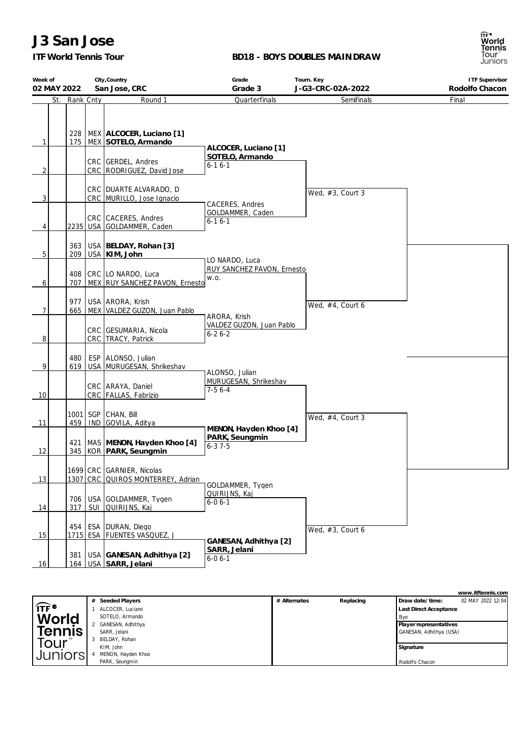## *ITF World Tennis Tour*

#### **BD18 - BOYS DOUBLES MAINDRAW**

| Week of     |            | City, Country |                                                                                                              | Grade                                                   | Tourn. Key          | <b>ITF Supervisor</b> |  |
|-------------|------------|---------------|--------------------------------------------------------------------------------------------------------------|---------------------------------------------------------|---------------------|-----------------------|--|
| 02 MAY 2022 |            |               | San Jose, CRC                                                                                                | Grade 3                                                 | J-G3-CRC-02A-2022   | Rodolfo Chacon        |  |
| St.         | Rank Cnty  |               | Round 1                                                                                                      | Quarterfinals                                           | Semifinals          | Final                 |  |
| 1<br>2      | 175        |               | 228   MEX   ALCOCER, Luciano [1]<br>MEX SOTELO, Armando<br>CRC GERDEL, Andres<br>CRC   RODRIGUEZ, David Jose | ALCOCER, Luciano [1]<br>SOTELO, Armando<br>$6 - 16 - 1$ |                     |                       |  |
| 3           |            |               | CRC   DUARTE ALVARADO, D<br>CRC MURILLO, Jose Ignacio                                                        | CACERES, Andres                                         | Wed, $#3$ , Court 3 |                       |  |
| 4           |            |               | CRC CACERES, Andres<br>2235   USA   GOLDAMMER, Caden                                                         | GOLDAMMER, Caden<br>$6 - 16 - 1$                        |                     |                       |  |
| 5           | 363<br>209 |               | USA   BELDAY, Rohan [3]<br>USA KIM, John                                                                     | LO NARDO, Luca                                          |                     |                       |  |
| 6           | 707        |               | 408   CRC   LO NARDO, Luca<br>MEX RUY SANCHEZ PAVON, Ernesto                                                 | RUY SANCHEZ PAVON, Ernesto<br>W.O.                      |                     |                       |  |
| 7           | 977<br>665 |               | USA ARORA, Krish<br>MEX VALDEZ GUZON, Juan Pablo                                                             | ARORA, Krish                                            | Wed, #4, Court 6    |                       |  |
| 8           |            |               | CRC   GESUMARIA, Nicola<br>CRC TRACY, Patrick                                                                | VALDEZ GUZON, Juan Pablo<br>$6 - 26 - 2$                |                     |                       |  |
| 9           | 480<br>619 |               | ESP   ALONSO, Julian<br>USA MURUGESAN, Shrikeshav                                                            | ALONSO, Julian                                          |                     |                       |  |
| 10          |            |               | CRC ARAYA, Daniel<br>CRC   FALLAS, Fabrizio                                                                  | MURUGESAN, Shrikeshav<br>$7-56-4$                       |                     |                       |  |
| 11          | 459        |               | 1001   SGP   CHAN, Bill<br>IND GOVILA, Aditya                                                                | MENON, Hayden Khoo [4]                                  | Wed, #4, Court 3    |                       |  |
| 12          | 421        |               | MAS MENON, Hayden Khoo [4]<br>345 KOR PARK, Seungmin                                                         | PARK, Seungmin<br>$6 - 37 - 5$                          |                     |                       |  |
| 13          |            |               | 1699 CRC GARNIER, Nicolas<br>1307 CRC QUIROS MONTERREY, Adrian                                               | GOLDAMMER, Tygen                                        |                     |                       |  |
| 14          | 706<br>317 | SUI           | USA GOLDAMMER, Tygen<br>QUIRIJNS, Kaj                                                                        | QUIRIJNS, Kaj<br>$6 - 06 - 1$                           |                     |                       |  |
| 15          |            |               | 454   ESA   DURAN, Diego<br>1715 ESA FUENTES VASQUEZ, J                                                      | GANESAN, Adhithya [2]                                   | Wed, #3, Court 6    |                       |  |
| 16          | 381        |               | USA GANESAN, Adhithya [2]<br>164   USA SARR, Jelani                                                          | SARR, Jelani<br>$6 - 06 - 1$                            |                     |                       |  |